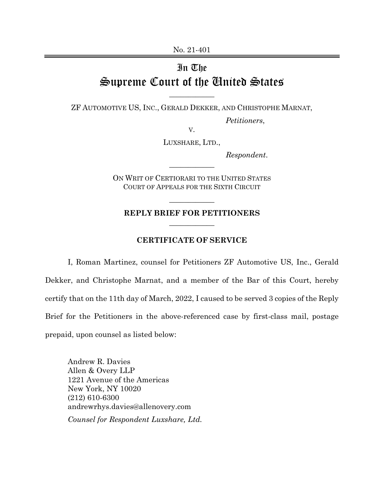## In The Supreme Court of the United States

ZF AUTOMOTIVE US, INC., GERALD DEKKER, AND CHRISTOPHE MARNAT,

 $\overline{\phantom{a}}$  , where  $\overline{\phantom{a}}$ 

*Petitioners*,

V. LUXSHARE, LTD.,

*Respondent*.

ON WRIT OF CERTIORARI TO THE UNITED STATES COURT OF APPEALS FOR THE SIXTH CIRCUIT

 $\overline{\phantom{a}}$  , where  $\overline{\phantom{a}}$ 

## **REPLY BRIEF FOR PETITIONERS**   $\overline{\phantom{a}}$  , where  $\overline{\phantom{a}}$

 $\overline{\phantom{a}}$  , where  $\overline{\phantom{a}}$ 

## **CERTIFICATE OF SERVICE**

I, Roman Martinez, counsel for Petitioners ZF Automotive US, Inc., Gerald Dekker, and Christophe Marnat, and a member of the Bar of this Court, hereby certify that on the 11th day of March, 2022, I caused to be served 3 copies of the Reply Brief for the Petitioners in the above-referenced case by first-class mail, postage prepaid, upon counsel as listed below:

Andrew R. Davies Allen & Overy LLP 1221 Avenue of the Americas New York, NY 10020 (212) 610-6300 andrewrhys.davies@allenovery.com *Counsel for Respondent Luxshare, Ltd.*